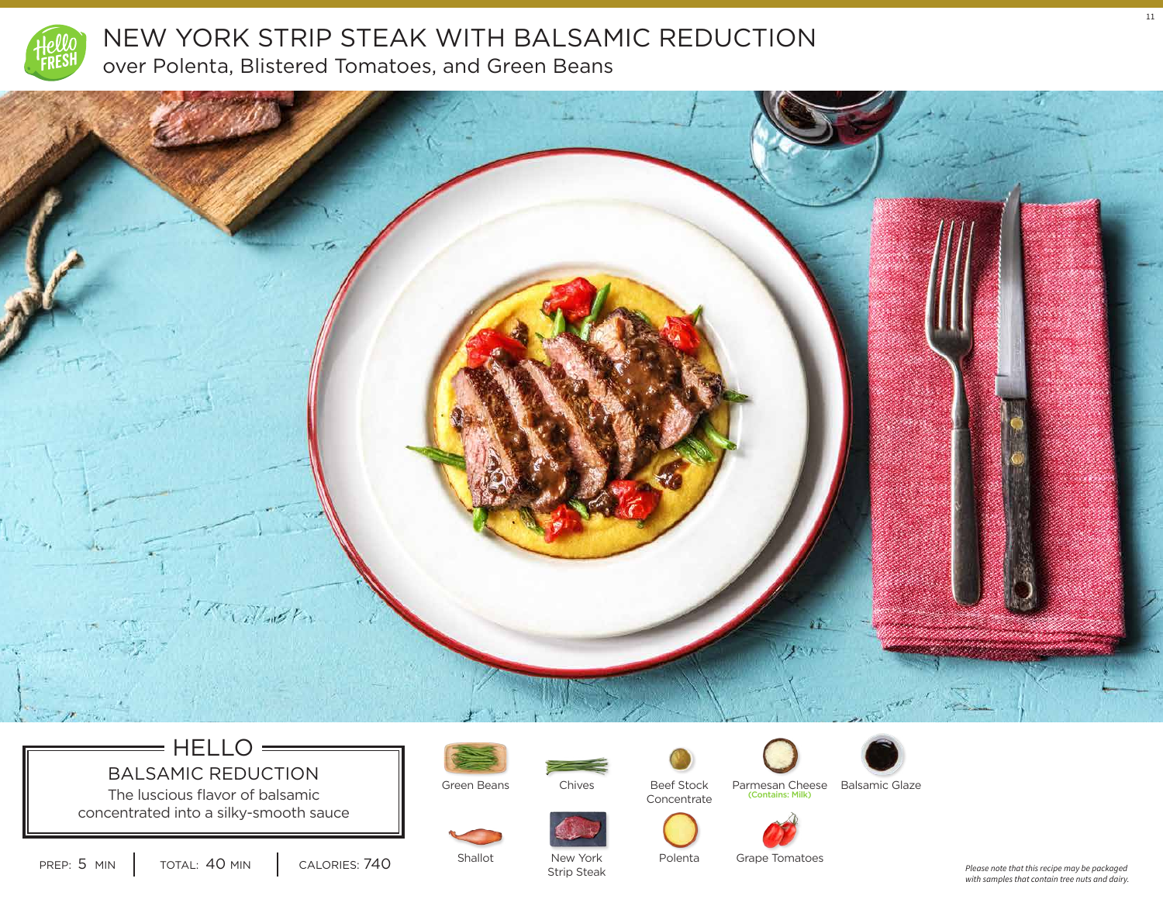



## $=$  HELLO  $=$ BALSAMIC REDUCTION

The luscious flavor of balsamic concentrated into a silky-smooth sauce







**Concentrate** 



(Contains: Milk) Beef Stock Parmesan Cheese Balsamic Glaze







PREP: 5 MIN | TOTAL: 40 MIN | CALORIES: 740

Shallot

New York Strip Steak Grape Tomatoes

*Please note that this recipe may be packaged with samples that contain tree nuts and dairy.* 11